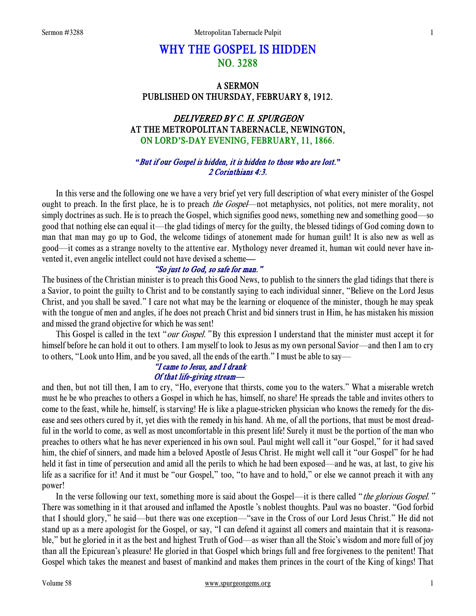# WHY THE GOSPEL IS HIDDEN NO. 3288

# A SERMON PUBLISHED ON THURSDAY, FEBRUARY 8, 1912.

# DELIVERED BY C. H. SPURGEON AT THE METROPOLITAN TABERNACLE, NEWINGTON, ON LORD**'**S-DAY EVENING, FEBRUARY, 11, 1866.

### *"*But if our Gospel is hidden, it is hidden to those who are lost.*"* 2 Corinthians 4:3.

In this verse and the following one we have a very brief yet very full description of what every minister of the Gospel ought to preach. In the first place, he is to preach *the Gospel*—not metaphysics, not politics, not mere morality, not simply doctrines as such. He is to preach the Gospel, which signifies good news, something new and something good—so good that nothing else can equal it—the glad tidings of mercy for the guilty, the blessed tidings of God coming down to man that man may go up to God, the welcome tidings of atonement made for human guilt! It is also new as well as good—it comes as a strange novelty to the attentive ear. Mythology never dreamed it, human wit could never have invented it, even angelic intellect could not have devised a scheme—

## "So just to God, so safe for man."

The business of the Christian minister is to preach this Good News, to publish to the sinners the glad tidings that there is a Savior, to point the guilty to Christ and to be constantly saying to each individual sinner, "Believe on the Lord Jesus Christ, and you shall be saved." I care not what may be the learning or eloquence of the minister, though he may speak with the tongue of men and angles, if he does not preach Christ and bid sinners trust in Him, he has mistaken his mission and missed the grand objective for which he was sent!

This Gospel is called in the text "*our Gospel*." By this expression I understand that the minister must accept it for himself before he can hold it out to others. I am myself to look to Jesus as my own personal Savior—and then I am to cry to others, "Look unto Him, and be you saved, all the ends of the earth." I must be able to say—

#### "I came to Jesus, and I drank Of that life-giving stream—

and then, but not till then, I am to cry, "Ho, everyone that thirsts, come you to the waters." What a miserable wretch must he be who preaches to others a Gospel in which he has, himself, no share! He spreads the table and invites others to come to the feast, while he, himself, is starving! He is like a plague-stricken physician who knows the remedy for the disease and sees others cured by it, yet dies with the remedy in his hand. Ah me, of all the portions, that must be most dreadful in the world to come, as well as most uncomfortable in this present life! Surely it must be the portion of the man who preaches to others what he has never experienced in his own soul. Paul might well call it "our Gospel," for it had saved him, the chief of sinners, and made him a beloved Apostle of Jesus Christ. He might well call it "our Gospel" for he had held it fast in time of persecution and amid all the perils to which he had been exposed—and he was, at last, to give his life as a sacrifice for it! And it must be "our Gospel," too, "to have and to hold," or else we cannot preach it with any power!

In the verse following our text, something more is said about the Gospel—it is there called "the glorious Gospel." There was something in it that aroused and inflamed the Apostle 's noblest thoughts. Paul was no boaster. "God forbid that I should glory," he said—but there was one exception—"save in the Cross of our Lord Jesus Christ." He did not stand up as a mere apologist for the Gospel, or say, "I can defend it against all comers and maintain that it is reasonable," but he gloried in it as the best and highest Truth of God—as wiser than all the Stoic's wisdom and more full of joy than all the Epicurean's pleasure! He gloried in that Gospel which brings full and free forgiveness to the penitent! That Gospel which takes the meanest and basest of mankind and makes them princes in the court of the King of kings! That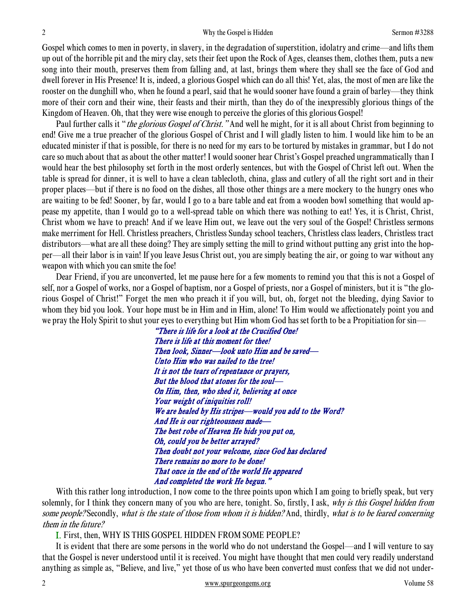Gospel which comes to men in poverty, in slavery, in the degradation of superstition, idolatry and crime—and lifts them up out of the horrible pit and the miry clay, sets their feet upon the Rock of Ages, cleanses them, clothes them, puts a new song into their mouth, preserves them from falling and, at last, brings them where they shall see the face of God and dwell forever in His Presence! It is, indeed, a glorious Gospel which can do all this! Yet, alas, the most of men are like the rooster on the dunghill who, when he found a pearl, said that he would sooner have found a grain of barley—they think more of their corn and their wine, their feasts and their mirth, than they do of the inexpressibly glorious things of the Kingdom of Heaven. Oh, that they were wise enough to perceive the glories of this glorious Gospel!

Paul further calls it "*the glorious Gospel of Christ.*" And well he might, for it is all about Christ from beginning to end! Give me a true preacher of the glorious Gospel of Christ and I will gladly listen to him. I would like him to be an educated minister if that is possible, for there is no need for my ears to be tortured by mistakes in grammar, but I do not care so much about that as about the other matter! I would sooner hear Christ's Gospel preached ungrammatically than I would hear the best philosophy set forth in the most orderly sentences, but with the Gospel of Christ left out. When the table is spread for dinner, it is well to have a clean tablecloth, china, glass and cutlery of all the right sort and in their proper places—but if there is no food on the dishes, all those other things are a mere mockery to the hungry ones who are waiting to be fed! Sooner, by far, would I go to a bare table and eat from a wooden bowl something that would appease my appetite, than I would go to a well-spread table on which there was nothing to eat! Yes, it is Christ, Christ, Christ whom we have to preach! And if we leave Him out, we leave out the very soul of the Gospel! Christless sermons make merriment for Hell. Christless preachers, Christless Sunday school teachers, Christless class leaders, Christless tract distributors—what are all these doing? They are simply setting the mill to grind without putting any grist into the hopper—all their labor is in vain! If you leave Jesus Christ out, you are simply beating the air, or going to war without any weapon with which you can smite the foe!

Dear Friend, if you are unconverted, let me pause here for a few moments to remind you that this is not a Gospel of self, nor a Gospel of works, nor a Gospel of baptism, nor a Gospel of priests, nor a Gospel of ministers, but it is "the glorious Gospel of Christ!" Forget the men who preach it if you will, but, oh, forget not the bleeding, dying Savior to whom they bid you look. Your hope must be in Him and in Him, alone! To Him would we affectionately point you and we pray the Holy Spirit to shut your eyes to everything but Him whom God has set forth to be a Propitiation for sin—

> "There is life for a look at the Crucified One! There is life at this moment for thee! Then look, Sinner—look unto Him and be saved— Unto Him who was nailed to the tree! It is not the tears of repentance or prayers, But the blood that atones for the soul— On Him, then, who shed it, believing at once Your weight of iniquities roll! We are healed by His stripes—would you add to the Word? And He is our righteousness made— The best robe of Heaven He bids you put on, Oh, could you be better arrayed? Then doubt not your welcome, since God has declared There remains no more to be done! That once in the end of the world He appeared And completed the work He begun."

With this rather long introduction, I now come to the three points upon which I am going to briefly speak, but very solemnly, for I think they concern many of you who are here, tonight. So, firstly, I ask, why is this Gospel hidden from some people? Secondly, what is the state of those from whom it is hidden? And, thirdly, what is to be feared concerning them in the future?

I. First, then, WHY IS THIS GOSPEL HIDDEN FROM SOME PEOPLE?

It is evident that there are some persons in the world who do not understand the Gospel—and I will venture to say that the Gospel is never understood until it is received. You might have thought that men could very readily understand anything as simple as, "Believe, and live," yet those of us who have been converted must confess that we did not under-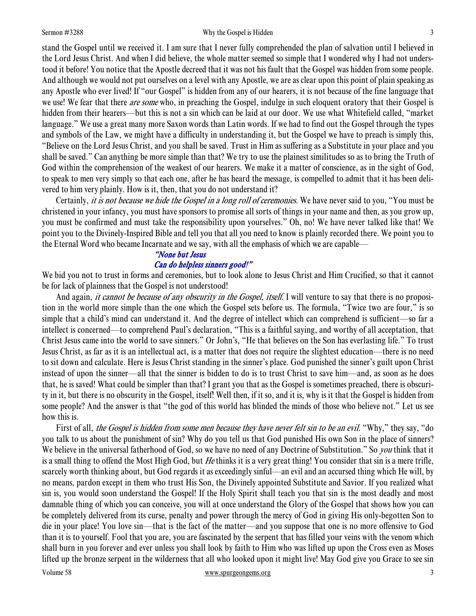#### Sermon #3288 Sermon #3288 Why the Gospel is Hidden 3

stand the Gospel until we received it. I am sure that I never fully comprehended the plan of salvation until I believed in the Lord Jesus Christ. And when I did believe, the whole matter seemed so simple that I wondered why I had not understood it before! You notice that the Apostle decreed that it was not his fault that the Gospel was hidden from some people. And although we would not put ourselves on a level with any Apostle, we are as clear upon this point of plain speaking as any Apostle who ever lived! If "our Gospel" is hidden from any of our hearers, it is not because of the fine language that we use! We fear that there *are some* who, in preaching the Gospel, indulge in such eloquent oratory that their Gospel is hidden from their hearers—but this is not a sin which can be laid at our door. We use what Whitefield called, "market language." We use a great many more Saxon words than Latin words. If we had to find out the Gospel through the types and symbols of the Law, we might have a difficulty in understanding it, but the Gospel we have to preach is simply this, "Believe on the Lord Jesus Christ, and you shall be saved. Trust in Him as suffering as a Substitute in your place and you shall be saved." Can anything be more simple than that? We try to use the plainest similitudes so as to bring the Truth of God within the comprehension of the weakest of our hearers. We make it a matter of conscience, as in the sight of God, to speak to men very simply so that each one, after he has heard the message, is compelled to admit that it has been delivered to him very plainly. How is it, then, that you do not understand it?

Certainly, *it is not because we hide the Gospel in a long roll of ceremonies*. We have never said to you, "You must be christened in your infancy, you must have sponsors to promise all sorts of things in your name and then, as you grow up, you must be confirmed and must take the responsibility upon yourselves." Oh, no! We have never talked like that! We point you to the Divinely-Inspired Bible and tell you that all you need to know is plainly recorded there. We point you to the Eternal Word who became Incarnate and we say, with all the emphasis of which we are capable—

#### "None but Jesus

#### Can do helpless sinners good!"

We bid you not to trust in forms and ceremonies, but to look alone to Jesus Christ and Him Crucified, so that it cannot be for lack of plainness that the Gospel is not understood!

And again, *it cannot be because of any obscurity in the Gospel, itself.* I will venture to say that there is no proposition in the world more simple than the one which the Gospel sets before us. The formula, "Twice two are four," is so simple that a child's mind can understand it. And the degree of intellect which can comprehend is sufficient—so far a intellect is concerned—to comprehend Paul's declaration, "This is a faithful saying, and worthy of all acceptation, that Christ Jesus came into the world to save sinners." Or John's, "He that believes on the Son has everlasting life." To trust Jesus Christ, as far as it is an intellectual act, is a matter that does not require the slightest education—there is no need to sit down and calculate. Here is Jesus Christ standing in the sinner's place. God punished the sinner's guilt upon Christ instead of upon the sinner—all that the sinner is bidden to do is to trust Christ to save him—and, as soon as he does that, he is saved! What could be simpler than that? I grant you that as the Gospel is sometimes preached, there is obscurity in it, but there is no obscurity in the Gospel, itself! Well then, if it so, and it is, why is it that the Gospel is hidden from some people? And the answer is that "the god of this world has blinded the minds of those who believe not." Let us see how this is.

First of all, the Gospel is hidden from some men because they have never felt sin to be an evil. "Why," they say, "do you talk to us about the punishment of sin? Why do you tell us that God punished His own Son in the place of sinners? We believe in the universal fatherhood of God, so we have no need of any Doctrine of Substitution." So *you* think that it is a small thing to offend the Most High God, but He thinks it is a very great thing! You consider that sin is a mere trifle, scarcely worth thinking about, but God regards it as exceedingly sinful—an evil and an accursed thing which He will, by no means, pardon except in them who trust His Son, the Divinely appointed Substitute and Savior. If you realized what sin is, you would soon understand the Gospel! If the Holy Spirit shall teach you that sin is the most deadly and most damnable thing of which you can conceive, you will at once understand the Glory of the Gospel that shows how you can be completely delivered from its curse, penalty and power through the mercy of God in giving His only-begotten Son to die in your place! You love sin—that is the fact of the matter—and you suppose that one is no more offensive to God than it is to yourself. Fool that you are, you are fascinated by the serpent that has filled your veins with the venom which shall burn in you forever and ever unless you shall look by faith to Him who was lifted up upon the Cross even as Moses lifted up the bronze serpent in the wilderness that all who looked upon it might live! May God give you Grace to see sin

#### Volume 58 www.spurgeongems.org 3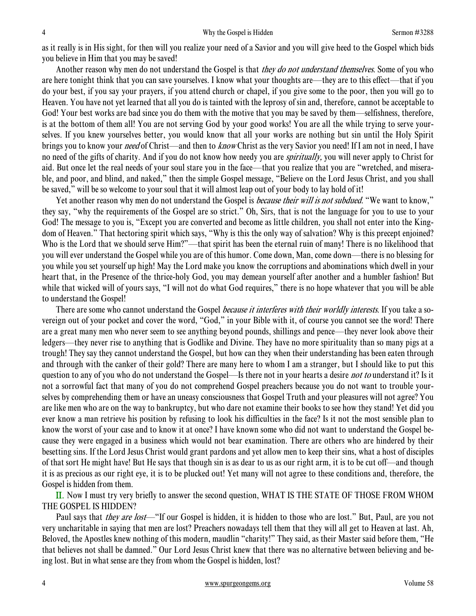as it really is in His sight, for then will you realize your need of a Savior and you will give heed to the Gospel which bids you believe in Him that you may be saved!

Another reason why men do not understand the Gospel is that *they do not understand themselves*. Some of you who are here tonight think that you can save yourselves. I know what your thoughts are—they are to this effect—that if you do your best, if you say your prayers, if you attend church or chapel, if you give some to the poor, then you will go to Heaven. You have not yet learned that all you do is tainted with the leprosy of sin and, therefore, cannot be acceptable to God! Your best works are bad since you do them with the motive that you may be saved by them—selfishness, therefore, is at the bottom of them all! You are not serving God by your good works! You are all the while trying to serve yourselves. If you knew yourselves better, you would know that all your works are nothing but sin until the Holy Spirit brings you to know your *need* of Christ—and then to *know* Christ as the very Savior you need! If I am not in need, I have no need of the gifts of charity. And if you do not know how needy you are *spiritually*, you will never apply to Christ for aid. But once let the real needs of your soul stare you in the face—that you realize that you are "wretched, and miserable, and poor, and blind, and naked," then the simple Gospel message, "Believe on the Lord Jesus Christ, and you shall be saved," will be so welcome to your soul that it will almost leap out of your body to lay hold of it!

Yet another reason why men do not understand the Gospel is *because their will is not subdued*. "We want to know," they say, "why the requirements of the Gospel are so strict." Oh, Sirs, that is not the language for you to use to your God! The message to you is, "Except you are converted and become as little children, you shall not enter into the Kingdom of Heaven." That hectoring spirit which says, "Why is this the only way of salvation? Why is this precept enjoined? Who is the Lord that we should serve Him?"—that spirit has been the eternal ruin of many! There is no likelihood that you will ever understand the Gospel while you are of this humor. Come down, Man, come down—there is no blessing for you while you set yourself up high! May the Lord make you know the corruptions and abominations which dwell in your heart that, in the Presence of the thrice-holy God, you may demean yourself after another and a humbler fashion! But while that wicked will of yours says, "I will not do what God requires," there is no hope whatever that you will be able to understand the Gospel!

There are some who cannot understand the Gospel *because it interferes with their worldly interests*. If you take a sovereign out of your pocket and cover the word, "God," in your Bible with it, of course you cannot see the word! There are a great many men who never seem to see anything beyond pounds, shillings and pence—they never look above their ledgers—they never rise to anything that is Godlike and Divine. They have no more spirituality than so many pigs at a trough! They say they cannot understand the Gospel, but how can they when their understanding has been eaten through and through with the canker of their gold? There are many here to whom I am a stranger, but I should like to put this question to any of you who do not understand the Gospel—Is there not in your hearts a desire *not to* understand it? Is it not a sorrowful fact that many of you do not comprehend Gospel preachers because you do not want to trouble yourselves by comprehending them or have an uneasy consciousness that Gospel Truth and your pleasures will not agree? You are like men who are on the way to bankruptcy, but who dare not examine their books to see how they stand! Yet did you ever know a man retrieve his position by refusing to look his difficulties in the face? Is it not the most sensible plan to know the worst of your case and to know it at once? I have known some who did not want to understand the Gospel because they were engaged in a business which would not bear examination. There are others who are hindered by their besetting sins. If the Lord Jesus Christ would grant pardons and yet allow men to keep their sins, what a host of disciples of that sort He might have! But He says that though sin is as dear to us as our right arm, it is to be cut off—and though it is as precious as our right eye, it is to be plucked out! Yet many will not agree to these conditions and, therefore, the Gospel is hidden from them.

II. Now I must try very briefly to answer the second question, WHAT IS THE STATE OF THOSE FROM WHOM THE GOSPEL IS HIDDEN?

Paul says that *they are lost*—"If our Gospel is hidden, it is hidden to those who are lost." But, Paul, are you not very uncharitable in saying that men are lost? Preachers nowadays tell them that they will all get to Heaven at last. Ah, Beloved, the Apostles knew nothing of this modern, maudlin "charity!" They said, as their Master said before them, "He that believes not shall be damned." Our Lord Jesus Christ knew that there was no alternative between believing and being lost. But in what sense are they from whom the Gospel is hidden, lost?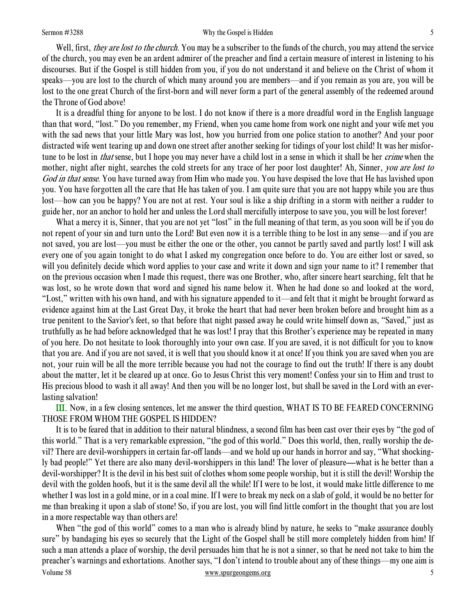#### Sermon #3288 Sermon #3288 Sermon #3288 Sermon #3288 Sermon #3288 Sermon #3288 Sermon #3288 Sermon #3288 Sermon #3288 Sermon #3288 Sermon #3288 Sermon #3288 Sermon #3288 Sermon #3288 Sermon #3288 Sermon #3288 Sermon #3288 S

Well, first, *they are lost to the church*. You may be a subscriber to the funds of the church, you may attend the service of the church, you may even be an ardent admirer of the preacher and find a certain measure of interest in listening to his discourses. But if the Gospel is still hidden from you, if you do not understand it and believe on the Christ of whom it speaks—you are lost to the church of which many around you are members—and if you remain as you are, you will be lost to the one great Church of the first-born and will never form a part of the general assembly of the redeemed around the Throne of God above!

It is a dreadful thing for anyone to be lost. I do not know if there is a more dreadful word in the English language than that word, "lost." Do you remember, my Friend, when you came home from work one night and your wife met you with the sad news that your little Mary was lost, how you hurried from one police station to another? And your poor distracted wife went tearing up and down one street after another seeking for tidings of your lost child! It was her misfortune to be lost in *that* sense, but I hope you may never have a child lost in a sense in which it shall be her *crime* when the mother, night after night, searches the cold streets for any trace of her poor lost daughter! Ah, Sinner, you are lost to God in that sense. You have turned away from Him who made you. You have despised the love that He has lavished upon you. You have forgotten all the care that He has taken of you. I am quite sure that you are not happy while you are thus lost—how can you be happy? You are not at rest. Your soul is like a ship drifting in a storm with neither a rudder to guide her, nor an anchor to hold her and unless the Lord shall mercifully interpose to save you, you will be lost forever!

What a mercy it is, Sinner, that you are not yet "lost" in the full meaning of that term, as you soon will be if you do not repent of your sin and turn unto the Lord! But even now it is a terrible thing to be lost in any sense—and if you are not saved, you are lost—you must be either the one or the other, you cannot be partly saved and partly lost! I will ask every one of you again tonight to do what I asked my congregation once before to do. You are either lost or saved, so will you definitely decide which word applies to your case and write it down and sign your name to it? I remember that on the previous occasion when I made this request, there was one Brother, who, after sincere heart searching, felt that he was lost, so he wrote down that word and signed his name below it. When he had done so and looked at the word, "Lost," written with his own hand, and with his signature appended to it—and felt that it might be brought forward as evidence against him at the Last Great Day, it broke the heart that had never been broken before and brought him as a true penitent to the Savior's feet, so that before that night passed away he could write himself down as, "Saved," just as truthfully as he had before acknowledged that he was lost! I pray that this Brother's experience may be repeated in many of you here. Do not hesitate to look thoroughly into your own case. If you are saved, it is not difficult for you to know that you are. And if you are not saved, it is well that you should know it at once! If you think you are saved when you are not, your ruin will be all the more terrible because you had not the courage to find out the truth! If there is any doubt about the matter, let it be cleared up at once. Go to Jesus Christ this very moment! Confess your sin to Him and trust to His precious blood to wash it all away! And then you will be no longer lost, but shall be saved in the Lord with an everlasting salvation!

III. Now, in a few closing sentences, let me answer the third question, WHAT IS TO BE FEARED CONCERNING THOSE FROM WHOM THE GOSPEL IS HIDDEN?

It is to be feared that in addition to their natural blindness, a second film has been cast over their eyes by "the god of this world." That is a very remarkable expression, "the god of this world." Does this world, then, really worship the devil? There are devil-worshippers in certain far-off lands—and we hold up our hands in horror and say, "What shockingly bad people!" Yet there are also many devil-worshippers in this land! The lover of pleasure—what is he better than a devil-worshipper? It is the devil in his best suit of clothes whom some people worship, but it is still the devil! Worship the devil with the golden hoofs, but it is the same devil all the while! If I were to be lost, it would make little difference to me whether I was lost in a gold mine, or in a coal mine. If I were to break my neck on a slab of gold, it would be no better for me than breaking it upon a slab of stone! So, if you are lost, you will find little comfort in the thought that you are lost in a more respectable way than others are!

Volume 58 www.spurgeongems.org 5 When "the god of this world" comes to a man who is already blind by nature, he seeks to "make assurance doubly sure" by bandaging his eyes so securely that the Light of the Gospel shall be still more completely hidden from him! If such a man attends a place of worship, the devil persuades him that he is not a sinner, so that he need not take to him the preacher's warnings and exhortations. Another says, "I don't intend to trouble about any of these things—my one aim is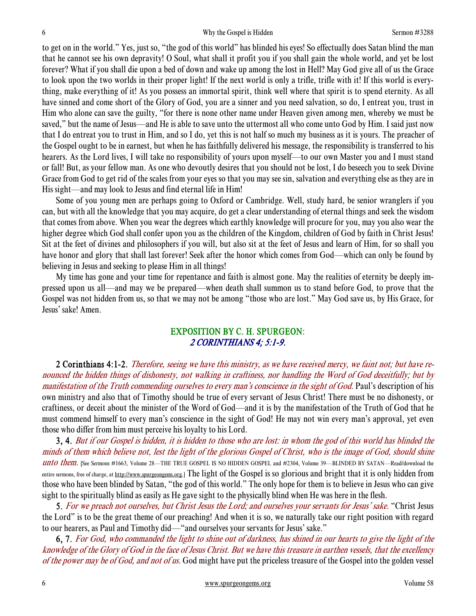to get on in the world." Yes, just so, "the god of this world" has blinded his eyes! So effectually does Satan blind the man that he cannot see his own depravity! O Soul, what shall it profit you if you shall gain the whole world, and yet be lost forever? What if you shall die upon a bed of down and wake up among the lost in Hell? May God give all of us the Grace to look upon the two worlds in their proper light! If the next world is only a trifle, trifle with it! If this world is everything, make everything of it! As you possess an immortal spirit, think well where that spirit is to spend eternity. As all have sinned and come short of the Glory of God, you are a sinner and you need salvation, so do, I entreat you, trust in Him who alone can save the guilty, "for there is none other name under Heaven given among men, whereby we must be saved," but the name of Jesus—and He is able to save unto the uttermost all who come unto God by Him. I said just now that I do entreat you to trust in Him, and so I do, yet this is not half so much my business as it is yours. The preacher of the Gospel ought to be in earnest, but when he has faithfully delivered his message, the responsibility is transferred to his hearers. As the Lord lives, I will take no responsibility of yours upon myself—to our own Master you and I must stand or fall! But, as your fellow man. As one who devoutly desires that you should not be lost, I do beseech you to seek Divine Grace from God to get rid of the scales from your eyes so that you may see sin, salvation and everything else as they are in His sight—and may look to Jesus and find eternal life in Him!

Some of you young men are perhaps going to Oxford or Cambridge. Well, study hard, be senior wranglers if you can, but with all the knowledge that you may acquire, do get a clear understanding of eternal things and seek the wisdom that comes from above. When you wear the degrees which earthly knowledge will procure for you, may you also wear the higher degree which God shall confer upon you as the children of the Kingdom, children of God by faith in Christ Jesus! Sit at the feet of divines and philosophers if you will, but also sit at the feet of Jesus and learn of Him, for so shall you have honor and glory that shall last forever! Seek after the honor which comes from God—which can only be found by believing in Jesus and seeking to please Him in all things!

My time has gone and your time for repentance and faith is almost gone. May the realities of eternity be deeply impressed upon us all—and may we be prepared—when death shall summon us to stand before God, to prove that the Gospel was not hidden from us, so that we may not be among "those who are lost." May God save us, by His Grace, for Jesus' sake! Amen.

# EXPOSITION BY C. H. SPURGEON: 2 CORINTHIANS 4; 5:1-9.

2 Corinthians 4:1-2. Therefore, seeing we have this ministry, as we have received mercy, we faint not; but have renounced the hidden things of dishonesty, not walking in craftiness, nor handling the Word of God deceitfully; but by manifestation of the Truth commending ourselves to every man's conscience in the sight of God. Paul's description of his own ministry and also that of Timothy should be true of every servant of Jesus Christ! There must be no dishonesty, or craftiness, or deceit about the minister of the Word of God—and it is by the manifestation of the Truth of God that he must commend himself to every man's conscience in the sight of God! He may not win every man's approval, yet even those who differ from him must perceive his loyalty to his Lord.

3, 4. But if our Gospel is hidden, it is hidden to those who are lost: in whom the god of this world has blinded the minds of them which believe not, lest the light of the glorious Gospel of Christ, who is the image of God, should shine unto them. [See Sermons #1663, Volume 28—THE TRUE GOSPEL IS NO HIDDEN GOSPEL and #2304, Volume 39—BLINDED BY SATAN—Read/download the entire sermons, free of charge, at http://www.spurgeongems.org.] The light of the Gospel is so glorious and bright that it is only hidden from those who have been blinded by Satan, "the god of this world." The only hope for them is to believe in Jesus who can give sight to the spiritually blind as easily as He gave sight to the physically blind when He was here in the flesh.

5. For we preach not ourselves, but Christ Jesus the Lord; and ourselves your servants for Jesus' sake. "Christ Jesus the Lord" is to be the great theme of our preaching! And when it is so, we naturally take our right position with regard to our hearers, as Paul and Timothy did—"and ourselves your servants for Jesus' sake."

6, 7. For God, who commanded the light to shine out of darkness, has shined in our hearts to give the light of the knowledge of the Glory of God in the face of Jesus Christ. But we have this treasure in earthen vessels, that the excellency of the power may be of God, and not of us. God might have put the priceless treasure of the Gospel into the golden vessel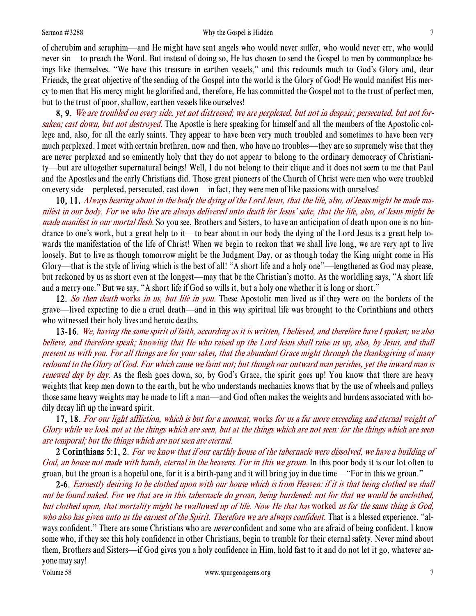#### Sermon #3288 Sermon #3288 Why the Gospel is Hidden 7

of cherubim and seraphim—and He might have sent angels who would never suffer, who would never err, who would never sin—to preach the Word. But instead of doing so, He has chosen to send the Gospel to men by commonplace beings like themselves. "We have this treasure in earthen vessels," and this redounds much to God's Glory and, dear Friends, the great objective of the sending of the Gospel into the world is the Glory of God! He would manifest His mercy to men that His mercy might be glorified and, therefore, He has committed the Gospel not to the trust of perfect men, but to the trust of poor, shallow, earthen vessels like ourselves!

8, 9. We are troubled on every side, yet not distressed; we are perplexed, but not in despair; persecuted, but not forsaken; cast down, but not destroyed. The Apostle is here speaking for himself and all the members of the Apostolic college and, also, for all the early saints. They appear to have been very much troubled and sometimes to have been very much perplexed. I meet with certain brethren, now and then, who have no troubles—they are so supremely wise that they are never perplexed and so eminently holy that they do not appear to belong to the ordinary democracy of Christianity—but are altogether supernatural beings! Well, I do not belong to their clique and it does not seem to me that Paul and the Apostles and the early Christians did. Those great pioneers of the Church of Christ were men who were troubled on every side—perplexed, persecuted, cast down—in fact, they were men of like passions with ourselves!

10, 11. Always bearing about in the body the dying of the Lord Jesus, that the life, also, of Jesus might be made manifest in our body. For we who live are always delivered unto death for Jesus' sake, that the life, also, of Jesus might be made manifest in our mortal flesh. So you see, Brothers and Sisters, to have an anticipation of death upon one is no hindrance to one's work, but a great help to it—to bear about in our body the dying of the Lord Jesus is a great help towards the manifestation of the life of Christ! When we begin to reckon that we shall live long, we are very apt to live loosely. But to live as though tomorrow might be the Judgment Day, or as though today the King might come in His Glory—that is the style of living which is the best of all! "A short life and a holy one"—lengthened as God may please, but reckoned by us as short even at the longest—may that be the Christian's motto. As the worldling says, "A short life and a merry one." But we say, "A short life if God so wills it, but a holy one whether it is long or short."

12. So then death works in us, but life in you. These Apostolic men lived as if they were on the borders of the grave—lived expecting to die a cruel death—and in this way spiritual life was brought to the Corinthians and others who witnessed their holy lives and heroic deaths.

13-16. We, having the same spirit of faith, according as it is written, I believed, and therefore have I spoken; we also believe, and therefore speak; knowing that He who raised up the Lord Jesus shall raise us up, also, by Jesus, and shall present us with you. For all things are for your sakes, that the abundant Grace might through the thanksgiving of many redound to the Glory of God. For which cause we faint not; but though our outward man perishes, yet the inward man is renewed day by day. As the flesh goes down, so, by God's Grace, the spirit goes up! You know that there are heavy weights that keep men down to the earth, but he who understands mechanics knows that by the use of wheels and pulleys those same heavy weights may be made to lift a man—and God often makes the weights and burdens associated with bodily decay lift up the inward spirit.

17, 18. For our light affliction, which is but for a moment, works for us a far more exceeding and eternal weight of Glory while we look not at the things which are seen, but at the things which are not seen: for the things which are seen are temporal; but the things which are not seen are eternal.

2 Corinthians 5:1, 2. For we know that if our earthly house of the tabernacle were dissolved, we have a building of God, an house not made with hands, eternal in the heavens. For in this we groan. In this poor body it is our lot often to groan, but the groan is a hopeful one, for it is a birth-pang and it will bring joy in due time—"For in this we groan."

Volume 58 www.spurgeongems.org 7 7 2-6. Earnestly desiring to be clothed upon with our house which is from Heaven: if it is that being clothed we shall not be found naked. For we that are in this tabernacle do groan, being burdened: not for that we would be unclothed, but clothed upon, that mortality might be swallowed up of life. Now He that has worked us for the same thing is God, who also has given unto us the earnest of the Spirit. Therefore we are always confident. That is a blessed experience, "always confident." There are some Christians who are *never* confident and some who are afraid of being confident. I know some who, if they see this holy confidence in other Christians, begin to tremble for their eternal safety. Never mind about them, Brothers and Sisters—if God gives you a holy confidence in Him, hold fast to it and do not let it go, whatever anyone may say!